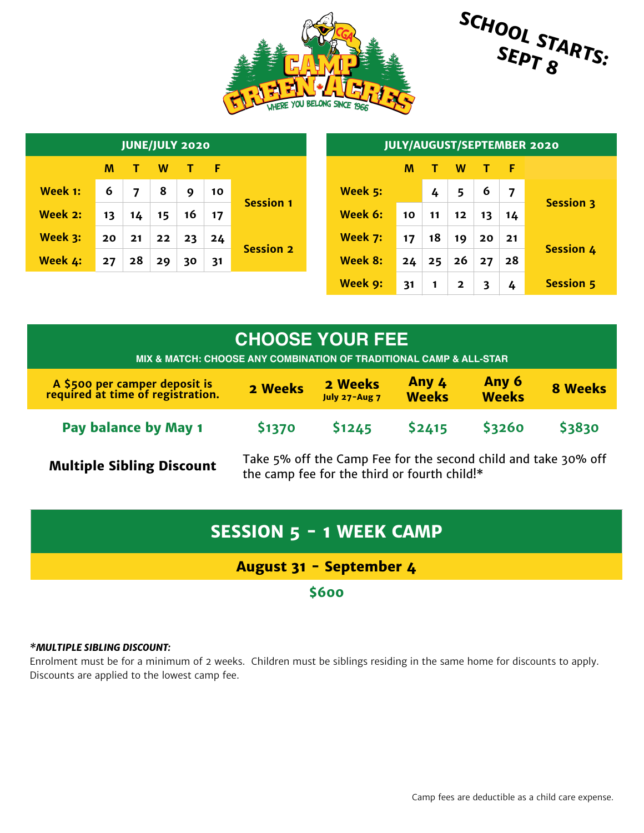



|         |    | <b>JULY/AUGUST/SEPTEMBER 2020</b> |    |    |    |                  |         |    |    |              |              |     |                  |
|---------|----|-----------------------------------|----|----|----|------------------|---------|----|----|--------------|--------------|-----|------------------|
|         | M  |                                   | W  | T. | Æ  |                  |         | M  |    | W            | $\mathbf{T}$ | - F |                  |
| Week 1: | 6  | ⇁                                 | 8  | 9  | 10 |                  | Week 5: |    | 4  | 5            | 6            | 7   | <b>Session 3</b> |
| Week 2: | 13 | 14                                | 15 | 16 | 17 | <b>Session 1</b> | Week 6: | 10 | 11 | $12 \,$      | 13           | 14  |                  |
| Week 3: | 20 | 21                                | 22 | 23 | 24 |                  | Week 7: | 17 | 18 | 19           | 20           | 21  | <b>Session 4</b> |
| Week 4: | 27 | 28                                | 29 | 30 | 31 | <b>Session 2</b> | Week 8: | 24 | 25 | 26           | 27           | 28  |                  |
|         |    |                                   |    |    |    |                  | Week 9: | 31 |    | $\mathbf{2}$ | 3            | 4   | <b>Session 5</b> |

## **CHOOSE YOUR FEE**

**MIX & MATCH: CHOOSE ANY COMBINATION OF TRADITIONAL CAMP & ALL-STAR**

| A \$500 per camper deposit is<br>required at time of registration. | 2 Weeks      | 2 Weeks<br>July 27-Aug 7 | Any 4<br><b>Weeks</b> | Any 6<br><b>Weeks</b> | <b>8 Weeks</b> |
|--------------------------------------------------------------------|--------------|--------------------------|-----------------------|-----------------------|----------------|
| <b>Pay balance by May 1</b>                                        | <b>S1370</b> | <b>S1245</b>             | S2415                 | <b>S3260</b>          | <b>S3830</b>   |

**Multiple Sibling Discount** Take 5% off the Camp Fee for the second child and take 30% off the same for the third or fourth childl<sup>\*</sup> the camp fee for the third or fourth child!\*

# **SESSION 5 - 1 WEEK CAMP**

## **August 31 - September 4**

**\$600**

#### *\*MULTIPLE SIBLING DISCOUNT:*

Enrolment must be for a minimum of 2 weeks. Children must be siblings residing in the same home for discounts to apply. Discounts are applied to the lowest camp fee.